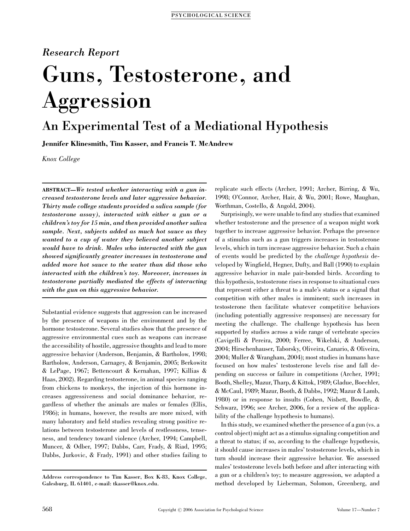### Research Report

# Guns, Testosterone, and Aggression

## An Experimental Test of a Mediational Hypothesis

Jennifer Klinesmith, Tim Kasser, and Francis T. McAndrew

Knox College

ABSTRACT—We tested whether interacting with a gun increased testosterone levels and later aggressive behavior. Thirty male college students provided a saliva sample (for testosterone assay), interacted with either a gun or a children's toy for 15 min, and then provided another saliva sample. Next, subjects added as much hot sauce as they wanted to a cup of water they believed another subject would have to drink. Males who interacted with the gun showed significantly greater increases in testosterone and added more hot sauce to the water than did those who interacted with the children's toy. Moreover, increases in testosterone partially mediated the effects of interacting with the gun on this aggressive behavior.

Substantial evidence suggests that aggression can be increased by the presence of weapons in the environment and by the hormone testosterone. Several studies show that the presence of aggressive environmental cues such as weapons can increase the accessibility of hostile, aggressive thoughts and lead to more aggressive behavior (Anderson, Benjamin, & Bartholow, 1998; Bartholow, Anderson, Carnagey, & Benjamin, 2005; Berkowitz & LePage, 1967; Bettencourt & Kernahan, 1997; Killias & Haas, 2002). Regarding testosterone, in animal species ranging from chickens to monkeys, the injection of this hormone increases aggressiveness and social dominance behavior, regardless of whether the animals are males or females (Ellis, 1986); in humans, however, the results are more mixed, with many laboratory and field studies revealing strong positive relations between testosterone and levels of restlessness, tenseness, and tendency toward violence (Archer, 1994; Campbell, Muncer, & Odber, 1997; Dabbs, Carr, Frady, & Riad, 1995; Dabbs, Jurkovic, & Frady, 1991) and other studies failing to replicate such effects (Archer, 1991; Archer, Birring, & Wu, 1998; O'Connor, Archer, Hair, & Wu, 2001; Rowe, Maughan, Worthman, Costello, & Angold, 2004).

Surprisingly, we were unable to find any studies that examined whether testosterone and the presence of a weapon might work together to increase aggressive behavior. Perhaps the presence of a stimulus such as a gun triggers increases in testosterone levels, which in turn increase aggressive behavior. Such a chain of events would be predicted by the challenge hypothesis developed by Wingfield, Hegner, Dufty, and Ball (1990) to explain aggressive behavior in male pair-bonded birds. According to this hypothesis, testosterone rises in response to situational cues that represent either a threat to a male's status or a signal that competition with other males is imminent; such increases in testosterone then facilitate whatever competitive behaviors (including potentially aggressive responses) are necessary for meeting the challenge. The challenge hypothesis has been supported by studies across a wide range of vertebrate species (Cavigelli & Pereira, 2000; Ferree, Wikelski, & Anderson, 2004; Hirschenhauser, Taborsky, Oliveira, Canario, & Oliveira, 2004; Muller & Wrangham, 2004); most studies in humans have focused on how males' testosterone levels rise and fall depending on success or failure in competitions (Archer, 1991; Booth, Shelley, Mazur, Tharp, & Kittok, 1989; Gladue, Boechler, & McCaul, 1989; Mazur, Booth, & Dabbs, 1992; Mazur & Lamb, 1980) or in response to insults (Cohen, Nisbett, Bowdle, & Schwarz, 1996; see Archer, 2006, for a review of the applicability of the challenge hypothesis to humans).

In this study, we examined whether the presence of a gun (vs. a control object) might act as a stimulus signaling competition and a threat to status; if so, according to the challenge hypothesis, it should cause increases in males' testosterone levels, which in turn should increase their aggressive behavior. We assessed males' testosterone levels both before and after interacting with a gun or a children's toy; to measure aggression, we adapted a method developed by Lieberman, Solomon, Greenberg, and

Address correspondence to Tim Kasser, Box K-83, Knox College, Galesburg, IL 61401, e-mail: tkasser@knox.edu.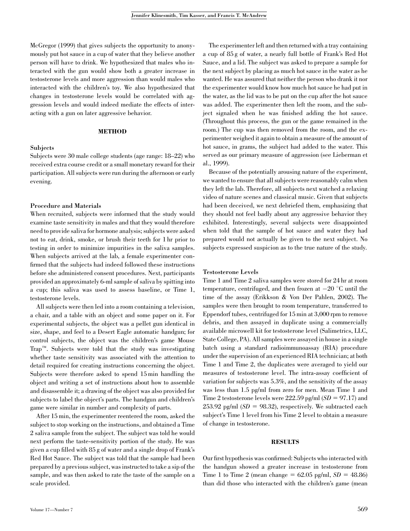McGregor (1999) that gives subjects the opportunity to anonymously put hot sauce in a cup of water that they believe another person will have to drink. We hypothesized that males who interacted with the gun would show both a greater increase in testosterone levels and more aggression than would males who interacted with the children's toy. We also hypothesized that changes in testosterone levels would be correlated with aggression levels and would indeed mediate the effects of interacting with a gun on later aggressive behavior.

#### METHOD

#### Subjects

Subjects were 30 male college students (age range: 18–22) who received extra course credit or a small monetary reward for their participation. All subjects were run during the afternoon or early evening.

#### Procedure and Materials

When recruited, subjects were informed that the study would examine taste sensitivity in males and that they would therefore need to provide saliva for hormone analysis; subjects were asked not to eat, drink, smoke, or brush their teeth for 1 hr prior to testing in order to minimize impurities in the saliva samples. When subjects arrived at the lab, a female experimenter confirmed that the subjects had indeed followed these instructions before she administered consent procedures. Next, participants provided an approximately 6-ml sample of saliva by spitting into a cup; this saliva was used to assess baseline, or Time 1, testosterone levels.

All subjects were then led into a room containing a television, a chair, and a table with an object and some paper on it. For experimental subjects, the object was a pellet gun identical in size, shape, and feel to a Desert Eagle automatic handgun; for control subjects, the object was the children's game Mouse Trap<sup>TM</sup>. Subjects were told that the study was investigating whether taste sensitivity was associated with the attention to detail required for creating instructions concerning the object. Subjects were therefore asked to spend 15 min handling the object and writing a set of instructions about how to assemble and disassemble it; a drawing of the object was also provided for subjects to label the object's parts. The handgun and children's game were similar in number and complexity of parts.

After 15 min, the experimenter reentered the room, asked the subject to stop working on the instructions, and obtained a Time 2 saliva sample from the subject. The subject was told he would next perform the taste-sensitivity portion of the study. He was given a cup filled with 85 g of water and a single drop of Frank's Red Hot Sauce. The subject was told that the sample had been prepared by a previous subject, was instructed to take a sip of the sample, and was then asked to rate the taste of the sample on a scale provided.

The experimenter left and then returned with a tray containing a cup of 85 g of water, a nearly full bottle of Frank's Red Hot Sauce, and a lid. The subject was asked to prepare a sample for the next subject by placing as much hot sauce in the water as he wanted. He was assured that neither the person who drank it nor the experimenter would know how much hot sauce he had put in the water, as the lid was to be put on the cup after the hot sauce was added. The experimenter then left the room, and the subject signaled when he was finished adding the hot sauce. (Throughout this process, the gun or the game remained in the room.) The cup was then removed from the room, and the experimenter weighed it again to obtain a measure of the amount of hot sauce, in grams, the subject had added to the water. This served as our primary measure of aggression (see Lieberman et al., 1999).

Because of the potentially arousing nature of the experiment, we wanted to ensure that all subjects were reasonably calm when they left the lab. Therefore, all subjects next watched a relaxing video of nature scenes and classical music. Given that subjects had been deceived, we next debriefed them, emphasizing that they should not feel badly about any aggressive behavior they exhibited. Interestingly, several subjects were disappointed when told that the sample of hot sauce and water they had prepared would not actually be given to the next subject. No subjects expressed suspicion as to the true nature of the study.

#### Testosterone Levels

Time 1 and Time 2 saliva samples were stored for 24 hr at room temperature, centrifuged, and then frozen at  $-20$  <sup>o</sup>C until the time of the assay (Erikkson & Von Der Pahlen, 2002). The samples were then brought to room temperature, transferred to Eppendorf tubes, centrifuged for 15 min at 3,000 rpm to remove debris, and then assayed in duplicate using a commercially available microwell kit for testosterone level (Salimetrics, LLC, State College, PA). All samples were assayed in house in a single batch using a standard radioimmunoassay (RIA) procedure under the supervision of an experienced RIA technician; at both Time 1 and Time 2, the duplicates were averaged to yield our measures of testosterone level. The intra-assay coefficient of variation for subjects was 5.3%, and the sensitivity of the assay was less than 1.5 pg/ml from zero for men. Mean Time 1 and Time 2 testosterone levels were 222.59 pg/ml  $(SD = 97.17)$  and 253.92 pg/ml  $(SD = 98.32)$ , respectively. We subtracted each subject's Time 1 level from his Time 2 level to obtain a measure of change in testosterone.

#### RESULTS

Our first hypothesis was confirmed: Subjects who interacted with the handgun showed a greater increase in testosterone from Time 1 to Time 2 (mean change =  $62.05$  pg/ml,  $SD = 48.86$ ) than did those who interacted with the children's game (mean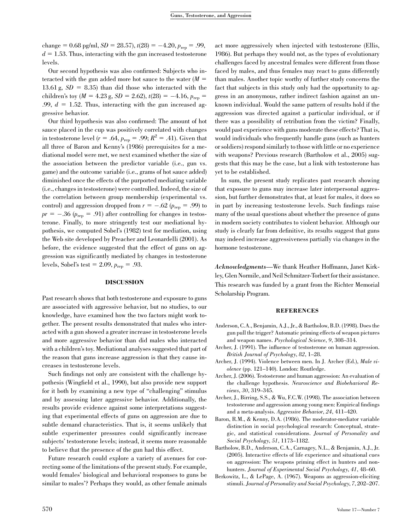change = 0.68 pg/ml,  $SD = 28.57$ ),  $t(28) = -4.20$ ,  $p_{rep} = .99$ ,  $d = 1.53$ . Thus, interacting with the gun increased testosterone levels.

Our second hypothesis was also confirmed: Subjects who interacted with the gun added more hot sauce to the water  $(M =$ 13.61 g,  $SD = 8.35$ ) than did those who interacted with the children's toy ( $M = 4.23$  g,  $SD = 2.62$ ),  $t(28) = -4.16$ ,  $p_{\text{rep}} =$ .99,  $d = 1.52$ . Thus, interacting with the gun increased aggressive behavior.

Our third hypothesis was also confirmed: The amount of hot sauce placed in the cup was positively correlated with changes in testosterone level ( $r = .64$ ,  $p_{\text{rep}} = .99$ ;  $R^2 = .41$ ). Given that all three of Baron and Kenny's (1986) prerequisites for a mediational model were met, we next examined whether the size of the association between the predictor variable (i.e., gun vs. game) and the outcome variable (i.e., grams of hot sauce added) diminished once the effects of the purported mediating variable (i.e., changes in testosterone) were controlled. Indeed, the size of the correlation between group membership (experimental vs. control) and aggression dropped from  $r = -.62$  ( $p_{\text{rep}} = .99$ ) to  $pr = -.36$  ( $p_{\text{ren}} = .91$ ) after controlling for changes in testosterone. Finally, to more stringently test our mediational hypothesis, we computed Sobel's (1982) test for mediation, using the Web site developed by Preacher and Leonardelli (2001). As before, the evidence suggested that the effect of guns on aggression was significantly mediated by changes in testosterone levels, Sobel's test =  $2.09$ ,  $p_{\text{rep}}$  = .93.

#### DISCUSSION

Past research shows that both testosterone and exposure to guns are associated with aggressive behavior, but no studies, to our knowledge, have examined how the two factors might work together. The present results demonstrated that males who interacted with a gun showed a greater increase in testosterone levels and more aggressive behavior than did males who interacted with a children's toy. Mediational analyses suggested that part of the reason that guns increase aggression is that they cause increases in testosterone levels.

Such findings not only are consistent with the challenge hypothesis (Wingfield et al., 1990), but also provide new support for it both by examining a new type of ''challenging'' stimulus and by assessing later aggressive behavior. Additionally, the results provide evidence against some interpretations suggesting that experimental effects of guns on aggression are due to subtle demand characteristics. That is, it seems unlikely that subtle experimenter pressures could significantly increase subjects' testosterone levels; instead, it seems more reasonable to believe that the presence of the gun had this effect.

Future research could explore a variety of avenues for correcting some of the limitations of the present study. For example, would females' biological and behavioral responses to guns be similar to males'? Perhaps they would, as other female animals

act more aggressively when injected with testosterone (Ellis, 1986). But perhaps they would not, as the types of evolutionary challenges faced by ancestral females were different from those faced by males, and thus females may react to guns differently than males. Another topic worthy of further study concerns the fact that subjects in this study only had the opportunity to aggress in an anonymous, rather indirect fashion against an unknown individual. Would the same pattern of results hold if the aggression was directed against a particular individual, or if there was a possibility of retribution from the victim? Finally, would past experience with guns moderate these effects? That is, would individuals who frequently handle guns (such as hunters or soldiers) respond similarly to those with little or no experience with weapons? Previous research (Bartholow et al., 2005) suggests that this may be the case, but a link with testosterone has yet to be established.

In sum, the present study replicates past research showing that exposure to guns may increase later interpersonal aggression, but further demonstrates that, at least for males, it does so in part by increasing testosterone levels. Such findings raise many of the usual questions about whether the presence of guns in modern society contributes to violent behavior. Although our study is clearly far from definitive, its results suggest that guns may indeed increase aggressiveness partially via changes in the hormone testosterone.

Acknowledgments—We thank Heather Hoffmann, Janet Kirkley, Glen Normile, and Neil Schmitzer-Torbert for their assistance. This research was funded by a grant from the Richter Memorial Scholarship Program.

#### **REFERENCES**

- Anderson, C.A., Benjamin, A.J., Jr., & Bartholow, B.D. (1998). Does the gun pull the trigger? Automatic priming effects of weapon pictures and weapon names. Psychological Science, 9, 308–314.
- Archer, J. (1991). The influence of testosterone on human aggression. British Journal of Psychology, 82, 1–28.
- Archer, J. (1994). Violence between men. In J. Archer (Ed.), Male violence (pp. 121–140). London: Routledge.
- Archer, J. (2006). Testosterone and human aggression: An evaluation of the challenge hypothesis. Neuroscience and Biobehavioral Reviews, 30, 319–345.
- Archer, J., Birring, S.S., & Wu, F.C.W. (1998). The association between testosterone and aggression among young men: Empirical findings and a meta-analysis. Aggressive Behavior, 24, 411–420.
- Baron, R.M., & Kenny, D.A. (1986). The moderator-mediator variable distinction in social psychological research: Conceptual, strategic, and statistical considerations. Journal of Personality and Social Psychology, 51, 1173–1182.
- Bartholow, B.D., Anderson, C.A., Carnagey, N.L., & Benjamin, A.J., Jr. (2005). Interactive effects of life experience and situational cues on aggression: The weapons priming effect in hunters and nonhunters. Journal of Experimental Social Psychology, 41, 48–60.
- Berkowitz, L., & LePage, A. (1967). Weapons as aggression-eliciting stimuli. Journal of Personality and Social Psychology, 7, 202–207.